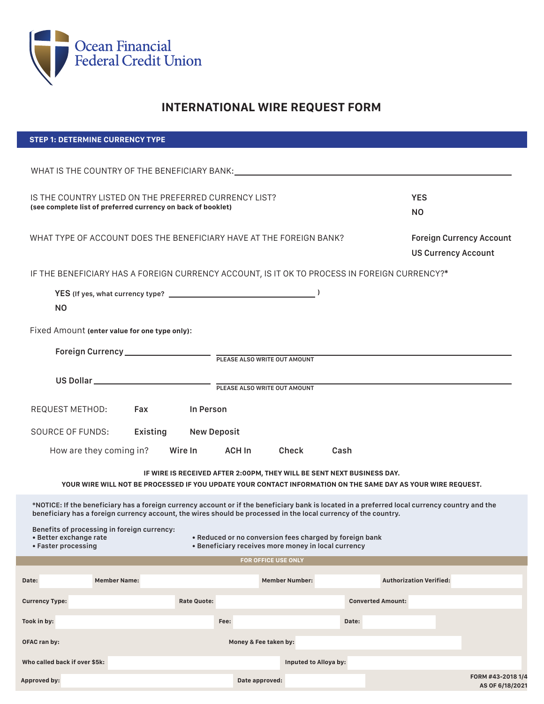

**Approved by:**

# **INTERNATIONAL WIRE REQUEST FORM**

| <b>STEP 1: DETERMINE CURRENCY TYPE</b>                                                                                                                                                  |                                |                            |                       |                          |                                 |
|-----------------------------------------------------------------------------------------------------------------------------------------------------------------------------------------|--------------------------------|----------------------------|-----------------------|--------------------------|---------------------------------|
|                                                                                                                                                                                         |                                |                            |                       |                          |                                 |
|                                                                                                                                                                                         |                                |                            |                       |                          |                                 |
|                                                                                                                                                                                         |                                |                            |                       |                          |                                 |
| IS THE COUNTRY LISTED ON THE PREFERRED CURRENCY LIST?<br><b>YES</b><br>(see complete list of preferred currency on back of booklet)                                                     |                                |                            |                       | <b>NO</b>                |                                 |
|                                                                                                                                                                                         |                                |                            |                       |                          |                                 |
| WHAT TYPE OF ACCOUNT DOES THE BENEFICIARY HAVE AT THE FOREIGN BANK?                                                                                                                     |                                |                            |                       |                          | <b>Foreign Currency Account</b> |
|                                                                                                                                                                                         |                                |                            |                       |                          | <b>US Currency Account</b>      |
| IF THE BENEFICIARY HAS A FOREIGN CURRENCY ACCOUNT, IS IT OK TO PROCESS IN FOREIGN CURRENCY?*                                                                                            |                                |                            |                       |                          |                                 |
|                                                                                                                                                                                         |                                |                            |                       |                          |                                 |
|                                                                                                                                                                                         |                                |                            |                       |                          |                                 |
| <b>NO</b>                                                                                                                                                                               |                                |                            |                       |                          |                                 |
| Fixed Amount (enter value for one type only):                                                                                                                                           |                                |                            |                       |                          |                                 |
|                                                                                                                                                                                         |                                |                            |                       |                          |                                 |
|                                                                                                                                                                                         |                                |                            |                       |                          |                                 |
|                                                                                                                                                                                         |                                |                            |                       |                          |                                 |
|                                                                                                                                                                                         |                                |                            |                       |                          |                                 |
| REQUEST METHOD: Fax In Person                                                                                                                                                           |                                |                            |                       |                          |                                 |
| <b>SOURCE OF FUNDS:</b>                                                                                                                                                                 | Existing<br><b>New Deposit</b> |                            |                       |                          |                                 |
|                                                                                                                                                                                         |                                |                            |                       |                          |                                 |
| How are they coming in?                                                                                                                                                                 | Wire In <b>William</b>         | ACH In                     | Check<br>Cash         |                          |                                 |
| IF WIRE IS RECEIVED AFTER 2:00PM, THEY WILL BE SENT NEXT BUSINESS DAY.                                                                                                                  |                                |                            |                       |                          |                                 |
| YOUR WIRE WILL NOT BE PROCESSED IF YOU UPDATE YOUR CONTACT INFORMATION ON THE SAME DAY AS YOUR WIRE REQUEST.                                                                            |                                |                            |                       |                          |                                 |
| *NOTICE: If the beneficiary has a foreign currency account or if the beneficiary bank is located in a preferred local currency country and the                                          |                                |                            |                       |                          |                                 |
| beneficiary has a foreign currency account, the wires should be processed in the local currency of the country.                                                                         |                                |                            |                       |                          |                                 |
| Benefits of processing in foreign currency:<br>• Better exchange rate<br>. Reduced or no conversion fees charged by foreign bank<br>• Beneficiary receives more money in local currency |                                |                            |                       |                          |                                 |
| • Faster processing                                                                                                                                                                     |                                |                            |                       |                          |                                 |
|                                                                                                                                                                                         |                                | <b>FOR OFFICE USE ONLY</b> |                       |                          |                                 |
| <b>Member Name:</b><br>Date:                                                                                                                                                            |                                |                            | <b>Member Number:</b> |                          | <b>Authorization Verified:</b>  |
| <b>Currency Type:</b>                                                                                                                                                                   | <b>Rate Quote:</b>             |                            |                       | <b>Converted Amount:</b> |                                 |
| Took in by:                                                                                                                                                                             |                                | Fee:                       |                       | Date:                    |                                 |
|                                                                                                                                                                                         |                                |                            |                       |                          |                                 |
| OFAC ran by:                                                                                                                                                                            |                                | Money & Fee taken by:      |                       |                          |                                 |
| Who called back if over \$5k:                                                                                                                                                           |                                |                            | Inputed to Alloya by: |                          |                                 |
| Approved by:                                                                                                                                                                            |                                | Date approved:             |                       |                          | FORM #43-2018 1/4               |
|                                                                                                                                                                                         |                                |                            |                       |                          | AS OF 6/18/2021                 |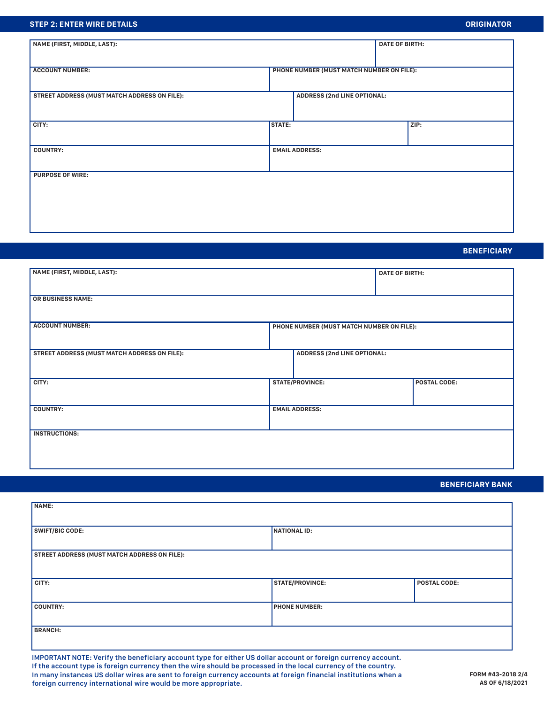## **STEP 2: ENTER WIRE DETAILS**

| NAME (FIRST, MIDDLE, LAST):                  |                                           |                                    | <b>DATE OF BIRTH:</b> |      |
|----------------------------------------------|-------------------------------------------|------------------------------------|-----------------------|------|
|                                              |                                           |                                    |                       |      |
| <b>ACCOUNT NUMBER:</b>                       | PHONE NUMBER (MUST MATCH NUMBER ON FILE): |                                    |                       |      |
| STREET ADDRESS (MUST MATCH ADDRESS ON FILE): |                                           | <b>ADDRESS (2nd LINE OPTIONAL:</b> |                       |      |
| CITY:                                        | <b>STATE:</b>                             |                                    |                       | ZIP: |
| <b>COUNTRY:</b>                              | <b>EMAIL ADDRESS:</b>                     |                                    |                       |      |
| <b>PURPOSE OF WIRE:</b>                      |                                           |                                    |                       |      |
|                                              |                                           |                                    |                       |      |
|                                              |                                           |                                    |                       |      |

## **BENEFICIARY**

| NAME (FIRST, MIDDLE, LAST):                         |                                           |  | <b>DATE OF BIRTH:</b> |  |
|-----------------------------------------------------|-------------------------------------------|--|-----------------------|--|
| <b>OR BUSINESS NAME:</b>                            |                                           |  |                       |  |
| <b>ACCOUNT NUMBER:</b>                              | PHONE NUMBER (MUST MATCH NUMBER ON FILE): |  |                       |  |
| <b>STREET ADDRESS (MUST MATCH ADDRESS ON FILE):</b> | <b>ADDRESS (2nd LINE OPTIONAL:</b>        |  |                       |  |
| CITY:                                               | <b>STATE/PROVINCE:</b>                    |  | <b>POSTAL CODE:</b>   |  |
| <b>COUNTRY:</b>                                     | <b>EMAIL ADDRESS:</b>                     |  |                       |  |
| <b>INSTRUCTIONS:</b>                                |                                           |  |                       |  |

## **BENEFICIARY BANK**

| NAME:                                               |                        |                     |
|-----------------------------------------------------|------------------------|---------------------|
|                                                     |                        |                     |
|                                                     |                        |                     |
| <b>SWIFT/BIC CODE:</b>                              | NATIONAL ID:           |                     |
|                                                     |                        |                     |
|                                                     |                        |                     |
| <b>STREET ADDRESS (MUST MATCH ADDRESS ON FILE):</b> |                        |                     |
|                                                     |                        |                     |
|                                                     |                        |                     |
|                                                     |                        |                     |
| CITY:                                               | <b>STATE/PROVINCE:</b> | <b>POSTAL CODE:</b> |
|                                                     |                        |                     |
|                                                     |                        |                     |
| <b>COUNTRY:</b>                                     | <b>PHONE NUMBER:</b>   |                     |
|                                                     |                        |                     |
|                                                     |                        |                     |
| <b>BRANCH:</b>                                      |                        |                     |
|                                                     |                        |                     |
|                                                     |                        |                     |

**IMPORTANT NOTE: Verify the beneficiary account type for either US dollar account or foreign currency account. If the account type is foreign currency then the wire should be processed in the local currency of the country. In many instances US dollar wires are sent to foreign currency accounts at foreign financial institutions when a foreign currency international wire would be more appropriate.**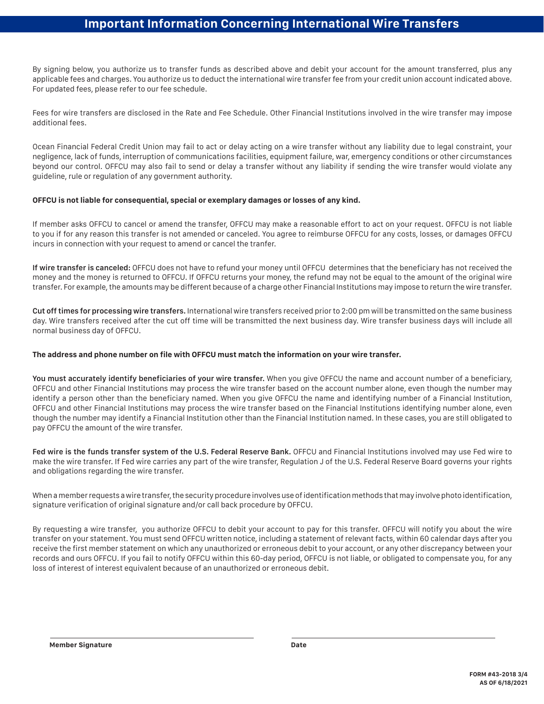## **Important Information Concerning International Wire Transfers**

By signing below, you authorize us to transfer funds as described above and debit your account for the amount transferred, plus any applicable fees and charges. You authorize us to deduct the international wire transfer fee from your credit union account indicated above. For updated fees, please refer to our fee schedule.

Fees for wire transfers are disclosed in the Rate and Fee Schedule. Other Financial Institutions involved in the wire transfer may impose additional fees.

Ocean Financial Federal Credit Union may fail to act or delay acting on a wire transfer without any liability due to legal constraint, your negligence, lack of funds, interruption of communications facilities, equipment failure, war, emergency conditions or other circumstances beyond our control. OFFCU may also fail to send or delay a transfer without any liability if sending the wire transfer would violate any guideline, rule or regulation of any government authority.

#### **OFFCU is not liable for consequential, special or exemplary damages or losses of any kind.**

If member asks OFFCU to cancel or amend the transfer, OFFCU may make a reasonable effort to act on your request. OFFCU is not liable to you if for any reason this transfer is not amended or canceled. You agree to reimburse OFFCU for any costs, losses, or damages OFFCU incurs in connection with your request to amend or cancel the tranfer.

**If wire transfer is canceled:** OFFCU does not have to refund your money until OFFCU determines that the beneficiary has not received the money and the money is returned to OFFCU. If OFFCU returns your money, the refund may not be equal to the amount of the original wire transfer. For example, the amounts may be different because of a charge other Financial Institutions may impose to return the wire transfer.

**Cut off times for processing wire transfers.** International wire transfers received prior to 2:00 pm will be transmitted on the same business day. Wire transfers received after the cut off time will be transmitted the next business day. Wire transfer business days will include all normal business day of OFFCU.

## **The address and phone number on file with OFFCU must match the information on your wire transfer.**

**You must accurately identify beneficiaries of your wire transfer.** When you give OFFCU the name and account number of a beneficiary, OFFCU and other Financial Institutions may process the wire transfer based on the account number alone, even though the number may identify a person other than the beneficiary named. When you give OFFCU the name and identifying number of a Financial Institution, OFFCU and other Financial Institutions may process the wire transfer based on the Financial Institutions identifying number alone, even though the number may identify a Financial Institution other than the Financial Institution named. In these cases, you are still obligated to pay OFFCU the amount of the wire transfer.

Fed wire is the funds transfer system of the U.S. Federal Reserve Bank. OFFCU and Financial Institutions involved may use Fed wire to make the wire transfer. If Fed wire carries any part of the wire transfer, Regulation J of the U.S. Federal Reserve Board governs your rights and obligations regarding the wire transfer.

When a member requests a wire transfer, the security procedure involves use of identification methods that may involve photo identification, signature verification of original signature and/or call back procedure by OFFCU.

By requesting a wire transfer, you authorize OFFCU to debit your account to pay for this transfer. OFFCU will notify you about the wire transfer on your statement. You must send OFFCU written notice, including a statement of relevant facts, within 60 calendar days after you receive the first member statement on which any unauthorized or erroneous debit to your account, or any other discrepancy between your records and ours OFFCU. If you fail to notify OFFCU within this 60-day period, OFFCU is not liable, or obligated to compensate you, for any loss of interest of interest equivalent because of an unauthorized or erroneous debit.